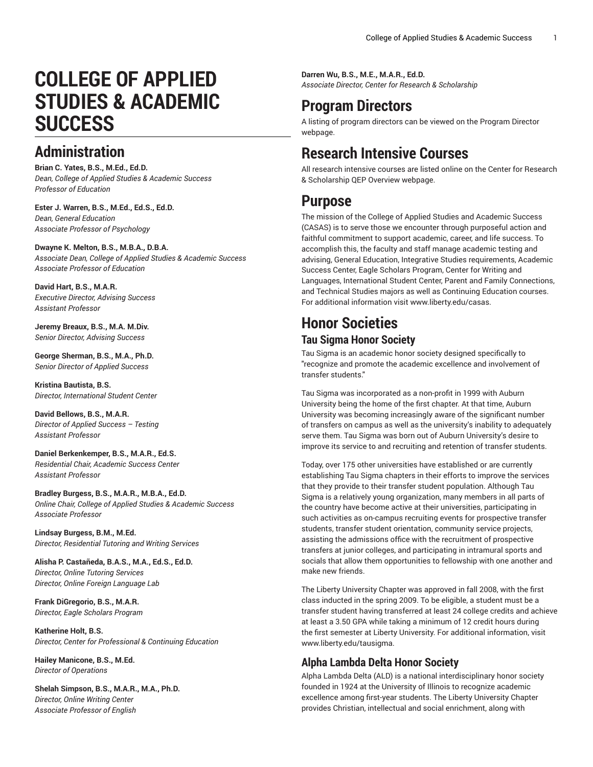# **COLLEGE OF APPLIED STUDIES & ACADEMIC SUCCESS**

## **Administration**

**Brian C. Yates, B.S., M.Ed., Ed.D.** *Dean, College of Applied Studies & Academic Success Professor of Education*

**Ester J. Warren, B.S., M.Ed., Ed.S., Ed.D.** *Dean, General Education Associate Professor of Psychology*

#### **Dwayne K. Melton, B.S., M.B.A., D.B.A.**

*Associate Dean, College of Applied Studies & Academic Success Associate Professor of Education*

#### **David Hart, B.S., M.A.R.** *Executive Director, Advising Success Assistant Professor*

**Jeremy Breaux, B.S., M.A. M.Div.** *Senior Director, Advising Success*

**George Sherman, B.S., M.A., Ph.D.** *Senior Director of Applied Success*

**Kristina Bautista, B.S.** *Director, International Student Center*

**David Bellows, B.S., M.A.R.** *Director of Applied Success – Testing Assistant Professor*

**Daniel Berkenkemper, B.S., M.A.R., Ed.S.** *Residential Chair, Academic Success Center Assistant Professor*

#### **Bradley Burgess, B.S., M.A.R., M.B.A., Ed.D.**

*Online Chair, College of Applied Studies & Academic Success Associate Professor*

**Lindsay Burgess, B.M., M.Ed.** *Director, Residential Tutoring and Writing Services*

**Alisha P. Castañeda, B.A.S., M.A., Ed.S., Ed.D.** *Director, Online Tutoring Services Director, Online Foreign Language Lab*

**Frank DiGregorio, B.S., M.A.R.** *Director, Eagle Scholars Program*

**Katherine Holt, B.S.** *Director, Center for Professional & Continuing Education*

**Hailey Manicone, B.S., M.Ed.** *Director of Operations*

**Shelah Simpson, B.S., M.A.R., M.A., Ph.D.** *Director, Online Writing Center Associate Professor of English*

**Darren Wu, B.S., M.E., M.A.R., Ed.D.** *Associate Director, Center for Research & Scholarship*

## **Program Directors**

A listing of program directors can be viewed on the [Program](https://www.liberty.edu/institutional-effectiveness/academic-program-directors/) Director webpage.

## **Research Intensive Courses**

All research intensive courses are listed online on the Center for Research & Scholarship QEP [Overview](https://www.liberty.edu/center-for-research-scholarship/qep-overview/) webpage.

### **Purpose**

The mission of the [College of Applied Studies and Academic Success](https://catalog.liberty.edu/undergraduate/colleges-schools/applied-studies-academic-success/www.liberty.edu/casas/) [\(CASAS\)](https://catalog.liberty.edu/undergraduate/colleges-schools/applied-studies-academic-success/www.liberty.edu/casas/) is to serve those we encounter through purposeful action and faithful commitment to support academic, career, and life success. To accomplish this, the faculty and staff manage academic testing and advising, General Education, Integrative Studies requirements, Academic Success Center, Eagle Scholars Program, Center for Writing and Languages, International Student Center, Parent and Family Connections, and Technical Studies majors as well as Continuing Education courses. For additional information visit [www.liberty.edu/casas](http://www.liberty.edu/casas/).

#### **Honor Societies Tau Sigma Honor Society**

Tau Sigma is an academic honor society designed specifically to "recognize and promote the academic excellence and involvement of transfer students."

Tau Sigma was incorporated as a non-profit in 1999 with Auburn University being the home of the first chapter. At that time, Auburn University was becoming increasingly aware of the significant number of transfers on campus as well as the university's inability to adequately serve them. Tau Sigma was born out of Auburn University's desire to improve its service to and recruiting and retention of transfer students.

Today, over 175 other universities have established or are currently establishing Tau Sigma chapters in their efforts to improve the services that they provide to their transfer student population. Although Tau Sigma is a relatively young organization, many members in all parts of the country have become active at their universities, participating in such activities as on-campus recruiting events for prospective transfer students, transfer student orientation, community service projects, assisting the admissions office with the recruitment of prospective transfers at junior colleges, and participating in intramural sports and socials that allow them opportunities to fellowship with one another and make new friends.

The Liberty University Chapter was approved in fall 2008, with the first class inducted in the spring 2009. To be eligible, a student must be a transfer student having transferred at least 24 college credits and achieve at least a 3.50 GPA while taking a minimum of 12 credit hours during the first semester at Liberty University. For additional information, visit [www.liberty.edu/tausigma](http://www.liberty.edu/?pid=19139).

#### **Alpha Lambda Delta Honor Society**

Alpha Lambda Delta (ALD) is a national interdisciplinary honor society founded in 1924 at the University of Illinois to recognize academic excellence among first-year students. The Liberty University Chapter provides Christian, intellectual and social enrichment, along with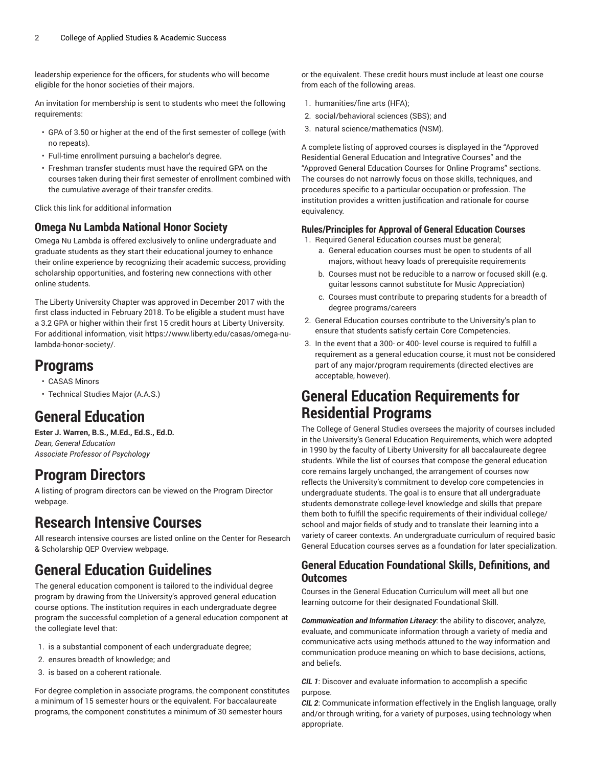leadership experience for the officers, for students who will become eligible for the honor societies of their majors.

An invitation for membership is sent to students who meet the following requirements:

- GPA of 3.50 or higher at the end of the first semester of college (with no repeats).
- Full-time enrollment pursuing a bachelor's degree.
- Freshman transfer students must have the required GPA on the courses taken during their first semester of enrollment combined with the cumulative average of their transfer credits.

Click this [link](https://www.liberty.edu/casas/ald-honor-society/) for additional information

#### **Omega Nu Lambda National Honor Society**

Omega Nu Lambda is offered exclusively to online undergraduate and graduate students as they start their educational journey to enhance their online experience by recognizing their academic success, providing scholarship opportunities, and fostering new connections with other online students.

The Liberty University Chapter was approved in December 2017 with the first class inducted in February 2018. To be eligible a student must have a 3.2 GPA or higher within their first 15 credit hours at Liberty University. For additional information, visit [https://www.liberty.edu/casas/omega-nu](https://www.liberty.edu/casas/omega-nu-lambda-honor-society/)[lambda-honor-society/](https://www.liberty.edu/casas/omega-nu-lambda-honor-society/).

### **Programs**

- [CASAS Minors](https://catalog.liberty.edu/undergraduate/colleges-schools/applied-studies-academic-success/casas-minors/)
- [Technical](https://catalog.liberty.edu/undergraduate/colleges-schools/applied-studies-academic-success/technical-studies-major-aas/) Studies Major (A.A.S.)

## **General Education**

**Ester J. Warren, B.S., M.Ed., Ed.S., Ed.D.** *Dean, General Education Associate Professor of Psychology*

### **Program Directors**

A listing of program directors can be viewed on the [Program](https://www.liberty.edu/institutional-effectiveness/academic-program-directors/) Director webpage.

### **Research Intensive Courses**

All research intensive courses are listed online on the Center for Research & Scholarship QEP [Overview](https://www.liberty.edu/center-for-research-scholarship/qep-overview/) webpage.

## **General Education Guidelines**

The general education component is tailored to the individual degree program by drawing from the University's approved general education course options. The institution requires in each undergraduate degree program the successful completion of a general education component at the collegiate level that:

- 1. is a substantial component of each undergraduate degree;
- 2. ensures breadth of knowledge; and
- 3. is based on a coherent rationale.

For degree completion in associate programs, the component constitutes a minimum of 15 semester hours or the equivalent. For baccalaureate programs, the component constitutes a minimum of 30 semester hours

or the equivalent. These credit hours must include at least one course from each of the following areas.

- 1. humanities/fine arts (HFA);
- 2. social/behavioral sciences (SBS); and
- 3. natural science/mathematics (NSM).

A complete listing of approved courses is displayed in the "Approved Residential General Education and Integrative Courses" and the "Approved General Education Courses for Online Programs" sections. The courses do not narrowly focus on those skills, techniques, and procedures specific to a particular occupation or profession. The institution provides a written justification and rationale for course equivalency.

#### **Rules/Principles for Approval of General Education Courses**

1. Required General Education courses must be general;

- a. General education courses must be open to students of all majors, without heavy loads of prerequisite requirements
- b. Courses must not be reducible to a narrow or focused skill (e.g. guitar lessons cannot substitute for Music Appreciation)
- c. Courses must contribute to preparing students for a breadth of degree programs/careers
- 2. General Education courses contribute to the University's plan to ensure that students satisfy certain Core Competencies.
- 3. In the event that a 300- or 400- level course is required to fulfill a requirement as a general education course, it must not be considered part of any major/program requirements (directed electives are acceptable, however).

### **General Education Requirements for Residential Programs**

The College of General Studies oversees the majority of courses included in the University's General Education Requirements, which were adopted in 1990 by the faculty of Liberty University for all baccalaureate degree students. While the list of courses that compose the general education core remains largely unchanged, the arrangement of courses now reflects the University's commitment to develop core competencies in undergraduate students. The goal is to ensure that all undergraduate students demonstrate college-level knowledge and skills that prepare them both to fulfill the specific requirements of their individual college/ school and major fields of study and to translate their learning into a variety of career contexts. An undergraduate curriculum of required basic General Education courses serves as a foundation for later specialization.

#### **General Education Foundational Skills, Definitions, and Outcomes**

Courses in the General Education Curriculum will meet all but one learning outcome for their designated Foundational Skill.

*Communication and Information Literacy*: the ability to discover, analyze, evaluate, and communicate information through a variety of media and communicative acts using methods attuned to the way information and communication produce meaning on which to base decisions, actions, and beliefs.

*CIL 1*: Discover and evaluate information to accomplish a specific purpose.

*CIL 2*: Communicate information effectively in the English language, orally and/or through writing, for a variety of purposes, using technology when appropriate.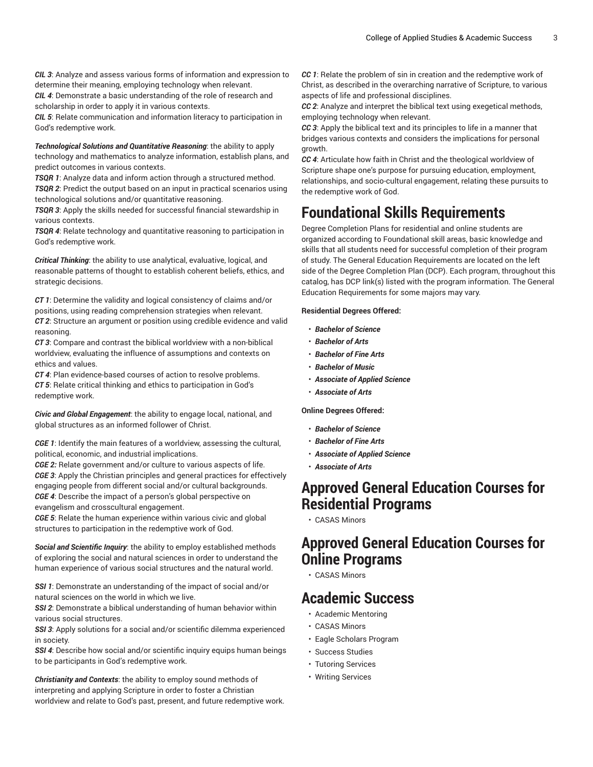*CIL 3*: Analyze and assess various forms of information and expression to determine their meaning, employing technology when relevant.

*CIL 4*: Demonstrate a basic understanding of the role of research and scholarship in order to apply it in various contexts.

*CIL 5*: Relate communication and information literacy to participation in God's redemptive work.

*Technological Solutions and Quantitative Reasoning*: the ability to apply technology and mathematics to analyze information, establish plans, and predict outcomes in various contexts.

*TSQR 1*: Analyze data and inform action through a structured method. *TSQR 2*: Predict the output based on an input in practical scenarios using technological solutions and/or quantitative reasoning.

*TSQR 3*: Apply the skills needed for successful financial stewardship in various contexts.

*TSQR 4*: Relate technology and quantitative reasoning to participation in God's redemptive work.

*Critical Thinking*: the ability to use analytical, evaluative, logical, and reasonable patterns of thought to establish coherent beliefs, ethics, and strategic decisions.

*CT 1*: Determine the validity and logical consistency of claims and/or positions, using reading comprehension strategies when relevant. *CT 2*: Structure an argument or position using credible evidence and valid reasoning.

*CT 3*: Compare and contrast the biblical worldview with a non-biblical worldview, evaluating the influence of assumptions and contexts on ethics and values.

*CT 4*: Plan evidence-based courses of action to resolve problems. *CT 5*: Relate critical thinking and ethics to participation in God's redemptive work.

*Civic and Global Engagement*: the ability to engage local, national, and global structures as an informed follower of Christ.

*CGE 1*: Identify the main features of a worldview, assessing the cultural, political, economic, and industrial implications.

*CGE 2:* Relate government and/or culture to various aspects of life. *CGE 3*: Apply the Christian principles and general practices for effectively engaging people from different social and/or cultural backgrounds. *CGE 4*: Describe the impact of a person's global perspective on evangelism and crosscultural engagement.

*CGE 5*: Relate the human experience within various civic and global structures to participation in the redemptive work of God.

*Social and Scientific Inquiry*: the ability to employ established methods of exploring the social and natural sciences in order to understand the human experience of various social structures and the natural world.

*SSI 1*: Demonstrate an understanding of the impact of social and/or natural sciences on the world in which we live.

*SSI 2*: Demonstrate a biblical understanding of human behavior within various social structures.

**SSI 3:** Apply solutions for a social and/or scientific dilemma experienced in society.

*SSI 4*: Describe how social and/or scientific inquiry equips human beings to be participants in God's redemptive work.

*Christianity and Contexts*: the ability to employ sound methods of interpreting and applying Scripture in order to foster a Christian worldview and relate to God's past, present, and future redemptive work. *CC 1*: Relate the problem of sin in creation and the redemptive work of Christ, as described in the overarching narrative of Scripture, to various aspects of life and professional disciplines.

*CC 2*: Analyze and interpret the biblical text using exegetical methods, employing technology when relevant.

*CC 3*: Apply the biblical text and its principles to life in a manner that bridges various contexts and considers the implications for personal growth.

*CC 4*: Articulate how faith in Christ and the theological worldview of Scripture shape one's purpose for pursuing education, employment, relationships, and socio-cultural engagement, relating these pursuits to the redemptive work of God.

## **Foundational Skills Requirements**

Degree Completion Plans for residential and online students are organized according to Foundational skill areas, basic knowledge and skills that all students need for successful completion of their program of study. The General Education Requirements are located on the left side of the Degree Completion Plan (DCP). Each program, throughout this catalog, has DCP link(s) listed with the program information. The General Education Requirements for some majors may vary.

#### **Residential Degrees Offered:**

- *Bachelor of Science*
- *Bachelor of Arts*
- *Bachelor of Fine Arts*
- *Bachelor of Music*
- *Associate of Applied Science*
- *Associate of Arts*

#### **Online Degrees Offered:**

- *Bachelor of Science*
- *Bachelor of Fine Arts*
- *Associate of Applied Science*
- *Associate of Arts*

#### **Approved General Education Courses for Residential Programs**

• [CASAS Minors](https://catalog.liberty.edu/undergraduate/colleges-schools/applied-studies-academic-success/casas-minors/)

### **Approved General Education Courses for Online Programs**

• [CASAS Minors](https://catalog.liberty.edu/undergraduate/colleges-schools/applied-studies-academic-success/casas-minors/)

### **Academic Success**

- [Academic Mentoring](https://catalog.liberty.edu/undergraduate/colleges-schools/applied-studies-academic-success/academic-mentoring/)
- [CASAS Minors](https://catalog.liberty.edu/undergraduate/colleges-schools/applied-studies-academic-success/casas-minors/)
- Eagle [Scholars](https://catalog.liberty.edu/undergraduate/colleges-schools/applied-studies-academic-success/eagle-scholars/) Program
- [Success Studies](https://catalog.liberty.edu/undergraduate/colleges-schools/applied-studies-academic-success/success-studies/)
- Tutoring [Services](https://catalog.liberty.edu/undergraduate/colleges-schools/applied-studies-academic-success/tutoring-services/)
- Writing [Services](https://catalog.liberty.edu/undergraduate/colleges-schools/applied-studies-academic-success/writing-services/)